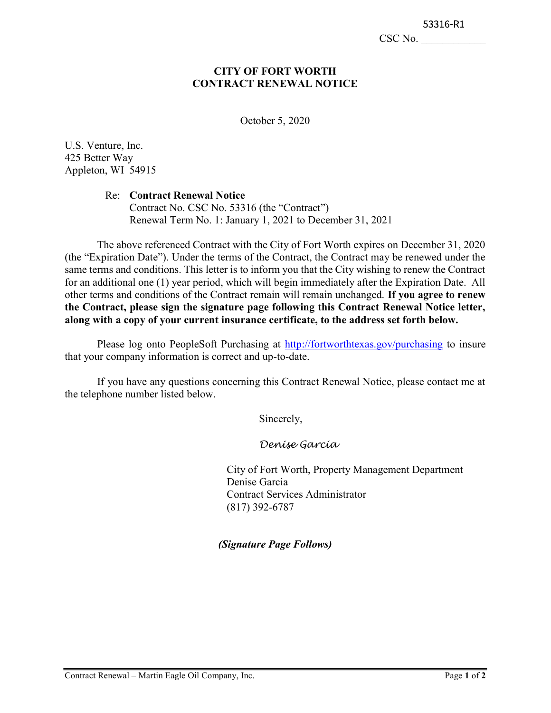CSC No.

#### CITY OF FORT WORTH CONTRACT RENEWAL NOTICE

October 5, 2020

U.S. Venture, Inc. 425 Better Way Appleton, WI 54915

#### Re: Contract Renewal Notice

Contract No. CSC No. 53316 (the "Contract") Renewal Term No. 1: January 1, 2021 to December 31, 2021

The above referenced Contract with the City of Fort Worth expires on December 31, 2020 (the "Expiration Date"). Under the terms of the Contract, the Contract may be renewed under the same terms and conditions. This letter is to inform you that the City wishing to renew the Contract for an additional one (1) year period, which will begin immediately after the Expiration Date. All other terms and conditions of the Contract remain will remain unchanged. If you agree to renew the Contract, please sign the signature page following this Contract Renewal Notice letter, along with a copy of your current insurance certificate, to the address set forth below.

Please log onto PeopleSoft Purchasing at http://fortworthtexas.gov/purchasing to insure that your company information is correct and up-to-date.

If you have any questions concerning this Contract Renewal Notice, please contact me at the telephone number listed below.

Sincerely,

Denise Garcia

City of Fort Worth, Property Management Department Denise Garcia Contract Services Administrator (817) 392-6787

(Signature Page Follows)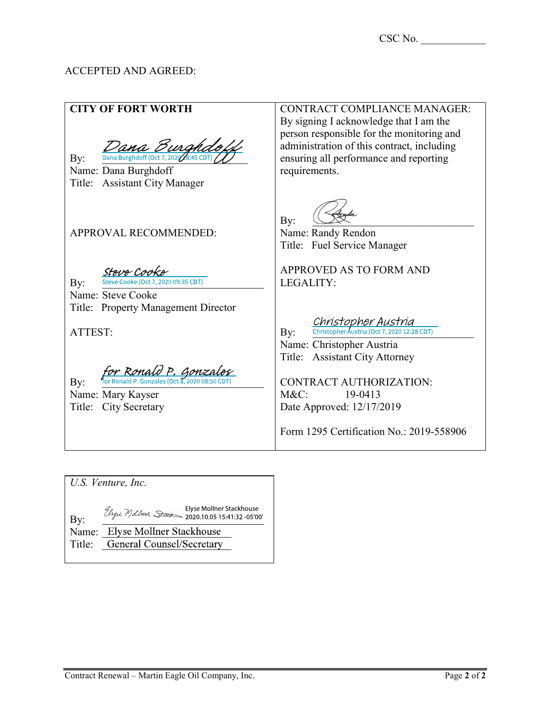### ACCEPTED AND AGREED:

CONTRACT COMPLIANCE MANAGER: CITY OF FORT WORTH By signing I acknowledge that I am the person responsible for the monitoring and administration of this contract, including Dana Burg  $\text{By:}\qquad$  Dana Burghdoff (Oct 7, 202 $\%$ :45 CD ensuring all performance and reporting Name: Dana Burghdoff requirements. Title: Assistant City Manager By: \_\_\_\_\_\_\_\_\_\_\_\_\_\_\_\_\_\_\_\_\_\_\_\_\_\_\_\_\_\_ APPROVAL RECOMMENDED: Name: Randy Rendon Title: Fuel Service Manager Steve Cooke APPROVED AS TO FORM AND **Bv:** Steve Cooke (Oct 7, 2020 09:35 CDT) LEGALITY: Name: Steve Cooke Title: Property Management Director *Christopher Austria*<br>By: christopher Austria (Oct 7, 2020 12:28 CDT) ATTEST: Name: Christopher Austria Title: Assistant City Attorney for Ronald P. Gonza  $\mathbf{By:} \qquad$  for Ronald P. Gonzales (Oct 8, 2020 08:50 CONTRACT AUTHORIZATION: Name: Mary Kayser M&C: 19-0413 Title: City Secretary Date Approved: 12/17/2019 Form 1295 Certification No.: 2019-558906

U.S. Venture, Inc. Elyse Mollner Stackhouse<br>2020.10.05 15:41:32 -05'00' > 2020.10.05 2021 By: Name: Elyse Mollner Stackhouse Title: General Counsel/Secretary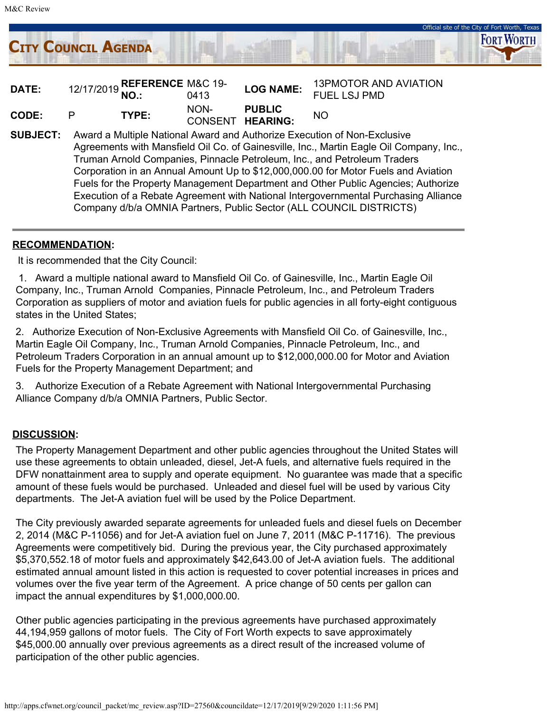

Official site of the City of Fort Worth, Texa

Corporation in an Annual Amount Up to \$12,000,000.00 for Motor Fuels and Aviation Fuels for the Property Management Department and Other Public Agencies; Authorize Execution of a Rebate Agreement with National Intergovernmental Purchasing Alliance Company d/b/a OMNIA Partners, Public Sector (ALL COUNCIL DISTRICTS)

#### RECOMMENDATION:

It is recommended that the City Council:

1. Award a multiple national award to Mansfield Oil Co. of Gainesville, Inc., Martin Eagle Oil Company, Inc., Truman Arnold Companies, Pinnacle Petroleum, Inc., and Petroleum Traders Corporation as suppliers of motor and aviation fuels for public agencies in all forty-eight contiguous states in the United States;

2. Authorize Execution of Non-Exclusive Agreements with Mansfield Oil Co. of Gainesville, Inc., Martin Eagle Oil Company, Inc., Truman Arnold Companies, Pinnacle Petroleum, Inc., and Petroleum Traders Corporation in an annual amount up to \$12,000,000.00 for Motor and Aviation Fuels for the Property Management Department; and

3. Authorize Execution of a Rebate Agreement with National Intergovernmental Purchasing Alliance Company d/b/a OMNIA Partners, Public Sector.

#### DISCUSSION:

The Property Management Department and other public agencies throughout the United States will use these agreements to obtain unleaded, diesel, Jet-A fuels, and alternative fuels required in the DFW nonattainment area to supply and operate equipment. No guarantee was made that a specific amount of these fuels would be purchased. Unleaded and diesel fuel will be used by various City departments. The Jet-A aviation fuel will be used by the Police Department.

The City previously awarded separate agreements for unleaded fuels and diesel fuels on December 2, 2014 (M&C P-11056) and for Jet-A aviation fuel on June 7, 2011 (M&C P-11716). The previous Agreements were competitively bid. During the previous year, the City purchased approximately \$5,370,552.18 of motor fuels and approximately \$42,643.00 of Jet-A aviation fuels. The additional estimated annual amount listed in this action is requested to cover potential increases in prices and volumes over the five year term of the Agreement. A price change of 50 cents per gallon can impact the annual expenditures by \$1,000,000.00.

Other public agencies participating in the previous agreements have purchased approximately 44,194,959 gallons of motor fuels. The City of Fort Worth expects to save approximately \$45,000.00 annually over previous agreements as a direct result of the increased volume of participation of the other public agencies.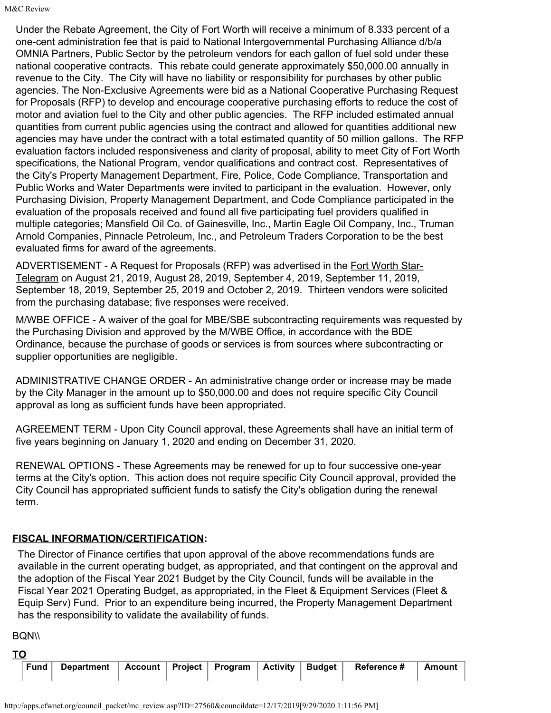Under the Rebate Agreement, the City of Fort Worth will receive a minimum of 8.333 percent of a one-cent administration fee that is paid to National Intergovernmental Purchasing Alliance d/b/a OMNIA Partners, Public Sector by the petroleum vendors for each gallon of fuel sold under these national cooperative contracts. This rebate could generate approximately \$50,000.00 annually in revenue to the City. The City will have no liability or responsibility for purchases by other public agencies. The Non-Exclusive Agreements were bid as a National Cooperative Purchasing Request for Proposals (RFP) to develop and encourage cooperative purchasing efforts to reduce the cost of motor and aviation fuel to the City and other public agencies. The RFP included estimated annual quantities from current public agencies using the contract and allowed for quantities additional new agencies may have under the contract with a total estimated quantity of 50 million gallons. The RFP evaluation factors included responsiveness and clarity of proposal, ability to meet City of Fort Worth specifications, the National Program, vendor qualifications and contract cost. Representatives of the City's Property Management Department, Fire, Police, Code Compliance, Transportation and Public Works and Water Departments were invited to participant in the evaluation. However, only Purchasing Division, Property Management Department, and Code Compliance participated in the evaluation of the proposals received and found all five participating fuel providers qualified in multiple categories; Mansfield Oil Co. of Gainesville, Inc., Martin Eagle Oil Company, Inc., Truman Arnold Companies, Pinnacle Petroleum, Inc., and Petroleum Traders Corporation to be the best evaluated firms for award of the agreements.

ADVERTISEMENT - A Request for Proposals (RFP) was advertised in the Fort Worth Star-Telegram on August 21, 2019, August 28, 2019, September 4, 2019, September 11, 2019, September 18, 2019, September 25, 2019 and October 2, 2019. Thirteen vendors were solicited from the purchasing database; five responses were received.

M/WBE OFFICE - A waiver of the goal for MBE/SBE subcontracting requirements was requested by the Purchasing Division and approved by the M/WBE Office, in accordance with the BDE Ordinance, because the purchase of goods or services is from sources where subcontracting or supplier opportunities are negligible.

ADMINISTRATIVE CHANGE ORDER - An administrative change order or increase may be made by the City Manager in the amount up to \$50,000.00 and does not require specific City Council approval as long as sufficient funds have been appropriated.

AGREEMENT TERM - Upon City Council approval, these Agreements shall have an initial term of five years beginning on January 1, 2020 and ending on December 31, 2020.

RENEWAL OPTIONS - These Agreements may be renewed for up to four successive one-year terms at the City's option. This action does not require specific City Council approval, provided the City Council has appropriated sufficient funds to satisfy the City's obligation during the renewal term.

## FISCAL INFORMATION/CERTIFICATION:

The Director of Finance certifies that upon approval of the above recommendations funds are available in the current operating budget, as appropriated, and that contingent on the approval and the adoption of the Fiscal Year 2021 Budget by the City Council, funds will be available in the Fiscal Year 2021 Operating Budget, as appropriated, in the Fleet & Equipment Services (Fleet & Equip Serv) Fund. Prior to an expenditure being incurred, the Property Management Department has the responsibility to validate the availability of funds.

**BQN\\** 

|  |  |  |  | Fund   Department   Account   Project   Program   Activity   Budget   Reference #   Amount |  |
|--|--|--|--|--------------------------------------------------------------------------------------------|--|
|  |  |  |  |                                                                                            |  |